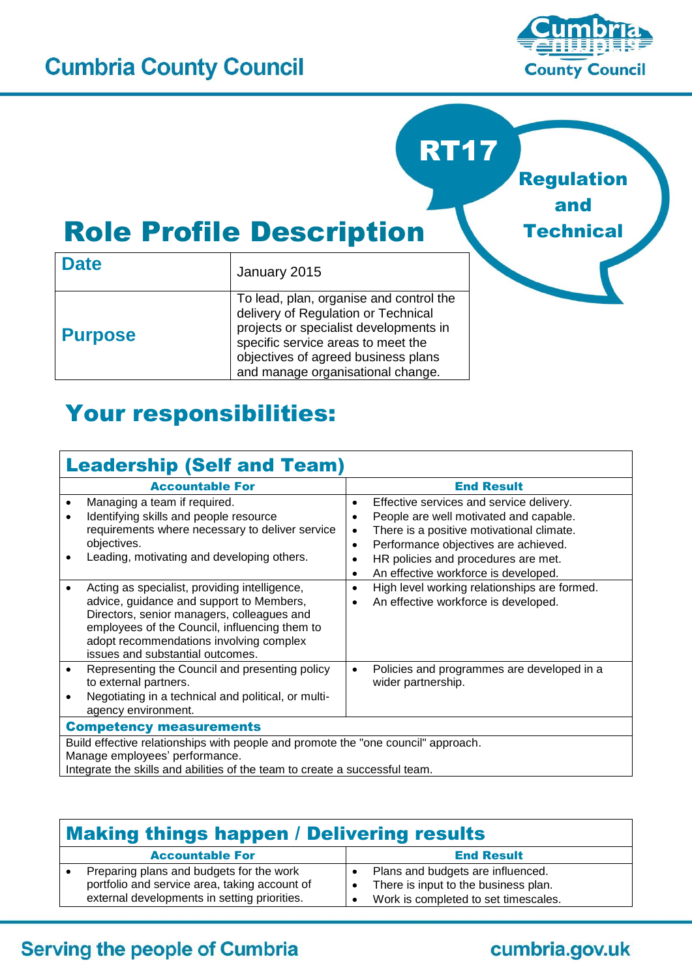

Regulation

and

**Technical** 

RT17

# Role Profile Description

| <b>Date</b>    | January 2015                                                                                                                                                                                                                               |  |  |  |
|----------------|--------------------------------------------------------------------------------------------------------------------------------------------------------------------------------------------------------------------------------------------|--|--|--|
| <b>Purpose</b> | To lead, plan, organise and control the<br>delivery of Regulation or Technical<br>projects or specialist developments in<br>specific service areas to meet the<br>objectives of agreed business plans<br>and manage organisational change. |  |  |  |

## Your responsibilities:

#### Leadership (Self and Team) Accountable For **End Result** • Managing a team if required. • Identifying skills and people resource requirements where necessary to deliver service objectives. Leading, motivating and developing others. **Effective services and service delivery.** • People are well motivated and capable. There is a positive motivational climate. • Performance objectives are achieved. • HR policies and procedures are met. An effective workforce is developed. Acting as specialist, providing intelligence, advice, guidance and support to Members, Directors, senior managers, colleagues and employees of the Council, influencing them to adopt recommendations involving complex issues and substantial outcomes. • High level working relationships are formed. An effective workforce is developed. • Representing the Council and presenting policy to external partners. Negotiating in a technical and political, or multiagency environment. Policies and programmes are developed in a wider partnership. Competency measurements Build effective relationships with people and promote the "one council" approach. Manage employees' performance. Integrate the skills and abilities of the team to create a successful team.

| <b>Making things happen / Delivering results</b>                                                                                          |                                                                                                                   |  |
|-------------------------------------------------------------------------------------------------------------------------------------------|-------------------------------------------------------------------------------------------------------------------|--|
| <b>Accountable For</b>                                                                                                                    | <b>End Result</b>                                                                                                 |  |
| Preparing plans and budgets for the work<br>portfolio and service area, taking account of<br>external developments in setting priorities. | Plans and budgets are influenced.<br>There is input to the business plan.<br>Work is completed to set timescales. |  |

#### **Serving the people of Cumbria**

### cumbria.gov.uk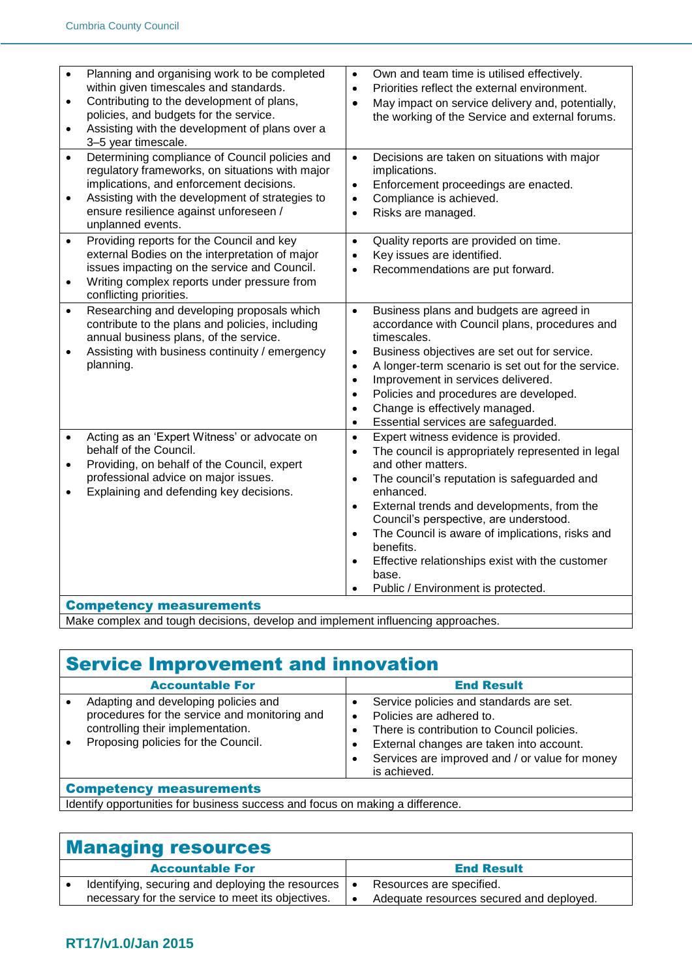| $\bullet$<br>$\bullet$<br>$\bullet$ | Planning and organising work to be completed<br>within given timescales and standards.<br>Contributing to the development of plans,<br>policies, and budgets for the service.<br>Assisting with the development of plans over a<br>3-5 year timescale.          | Own and team time is utilised effectively.<br>$\bullet$<br>Priorities reflect the external environment.<br>$\bullet$<br>May impact on service delivery and, potentially,<br>$\bullet$<br>the working of the Service and external forums.                                                                                                                                                                                                                                                                                         |
|-------------------------------------|-----------------------------------------------------------------------------------------------------------------------------------------------------------------------------------------------------------------------------------------------------------------|----------------------------------------------------------------------------------------------------------------------------------------------------------------------------------------------------------------------------------------------------------------------------------------------------------------------------------------------------------------------------------------------------------------------------------------------------------------------------------------------------------------------------------|
| $\bullet$<br>$\bullet$              | Determining compliance of Council policies and<br>regulatory frameworks, on situations with major<br>implications, and enforcement decisions.<br>Assisting with the development of strategies to<br>ensure resilience against unforeseen /<br>unplanned events. | Decisions are taken on situations with major<br>$\bullet$<br>implications.<br>Enforcement proceedings are enacted.<br>$\bullet$<br>Compliance is achieved.<br>$\bullet$<br>Risks are managed.<br>$\bullet$                                                                                                                                                                                                                                                                                                                       |
| $\bullet$<br>$\bullet$              | Providing reports for the Council and key<br>external Bodies on the interpretation of major<br>issues impacting on the service and Council.<br>Writing complex reports under pressure from<br>conflicting priorities.                                           | Quality reports are provided on time.<br>$\bullet$<br>Key issues are identified.<br>$\bullet$<br>Recommendations are put forward.<br>$\bullet$                                                                                                                                                                                                                                                                                                                                                                                   |
| $\bullet$<br>$\bullet$              | Researching and developing proposals which<br>contribute to the plans and policies, including<br>annual business plans, of the service.<br>Assisting with business continuity / emergency<br>planning.                                                          | Business plans and budgets are agreed in<br>$\bullet$<br>accordance with Council plans, procedures and<br>timescales.<br>Business objectives are set out for service.<br>$\bullet$<br>A longer-term scenario is set out for the service.<br>$\bullet$<br>Improvement in services delivered.<br>$\bullet$<br>Policies and procedures are developed.<br>$\bullet$<br>Change is effectively managed.<br>$\bullet$<br>Essential services are safeguarded.<br>$\bullet$                                                               |
| $\bullet$                           | Acting as an 'Expert Witness' or advocate on<br>behalf of the Council.<br>Providing, on behalf of the Council, expert<br>professional advice on major issues.<br>Explaining and defending key decisions.                                                        | Expert witness evidence is provided.<br>$\bullet$<br>The council is appropriately represented in legal<br>$\bullet$<br>and other matters.<br>The council's reputation is safeguarded and<br>$\bullet$<br>enhanced.<br>External trends and developments, from the<br>$\bullet$<br>Council's perspective, are understood.<br>The Council is aware of implications, risks and<br>$\bullet$<br>benefits.<br>Effective relationships exist with the customer<br>$\bullet$<br>base.<br>Public / Environment is protected.<br>$\bullet$ |
|                                     | <b>Competency measurements</b>                                                                                                                                                                                                                                  |                                                                                                                                                                                                                                                                                                                                                                                                                                                                                                                                  |

Make complex and tough decisions, develop and implement influencing approaches.

# Service Improvement and innovation

| <b>Accountable For</b>                                                                                                                                            |   | <b>End Result</b>                                                                                                                                                                                                               |
|-------------------------------------------------------------------------------------------------------------------------------------------------------------------|---|---------------------------------------------------------------------------------------------------------------------------------------------------------------------------------------------------------------------------------|
| Adapting and developing policies and<br>procedures for the service and monitoring and<br>controlling their implementation.<br>Proposing policies for the Council. | ٠ | Service policies and standards are set.<br>Policies are adhered to.<br>There is contribution to Council policies.<br>External changes are taken into account.<br>Services are improved and / or value for money<br>is achieved. |
| <b>Competency measurements</b>                                                                                                                                    |   |                                                                                                                                                                                                                                 |

Identify opportunities for business success and focus on making a difference.

#### Managing resources

| <b>Accountable For</b>                                | <b>End Result</b>                        |
|-------------------------------------------------------|------------------------------------------|
| Identifying, securing and deploying the resources   • | Resources are specified.                 |
| necessary for the service to meet its objectives.     | Adequate resources secured and deployed. |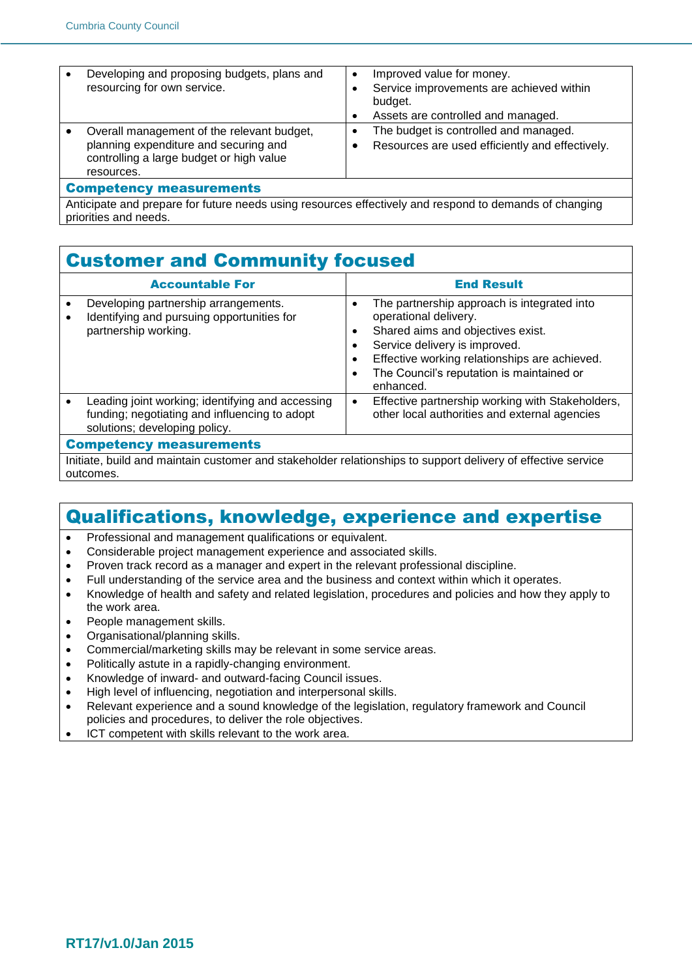|                                | Developing and proposing budgets, plans and<br>resourcing for own service.                                                                    |  | Improved value for money.<br>Service improvements are achieved within<br>budget.<br>Assets are controlled and managed. |
|--------------------------------|-----------------------------------------------------------------------------------------------------------------------------------------------|--|------------------------------------------------------------------------------------------------------------------------|
|                                | Overall management of the relevant budget,<br>planning expenditure and securing and<br>controlling a large budget or high value<br>resources. |  | The budget is controlled and managed.<br>Resources are used efficiently and effectively.                               |
| <b>Competency measurements</b> |                                                                                                                                               |  |                                                                                                                        |

Anticipate and prepare for future needs using resources effectively and respond to demands of changing priorities and needs.

#### Customer and Community focused

| <b>Accountable For</b>                                                                                                             |           | <b>End Result</b>                                                                                                                                                                                                                                     |  |
|------------------------------------------------------------------------------------------------------------------------------------|-----------|-------------------------------------------------------------------------------------------------------------------------------------------------------------------------------------------------------------------------------------------------------|--|
| Developing partnership arrangements.<br>Identifying and pursuing opportunities for<br>partnership working.                         |           | The partnership approach is integrated into<br>operational delivery.<br>Shared aims and objectives exist.<br>Service delivery is improved.<br>Effective working relationships are achieved.<br>The Council's reputation is maintained or<br>enhanced. |  |
| Leading joint working; identifying and accessing<br>funding; negotiating and influencing to adopt<br>solutions; developing policy. | $\bullet$ | Effective partnership working with Stakeholders,<br>other local authorities and external agencies                                                                                                                                                     |  |
| <b>Competency measurements</b>                                                                                                     |           |                                                                                                                                                                                                                                                       |  |

Initiate, build and maintain customer and stakeholder relationships to support delivery of effective service outcomes.

#### Qualifications, knowledge, experience and expertise

- Professional and management qualifications or equivalent.
- Considerable project management experience and associated skills.
- Proven track record as a manager and expert in the relevant professional discipline.
- Full understanding of the service area and the business and context within which it operates.
- Knowledge of health and safety and related legislation, procedures and policies and how they apply to the work area.
- People management skills.
- Organisational/planning skills.
- Commercial/marketing skills may be relevant in some service areas.
- Politically astute in a rapidly-changing environment.
- Knowledge of inward- and outward-facing Council issues.
- High level of influencing, negotiation and interpersonal skills.
- Relevant experience and a sound knowledge of the legislation, regulatory framework and Council policies and procedures, to deliver the role objectives.
- ICT competent with skills relevant to the work area.